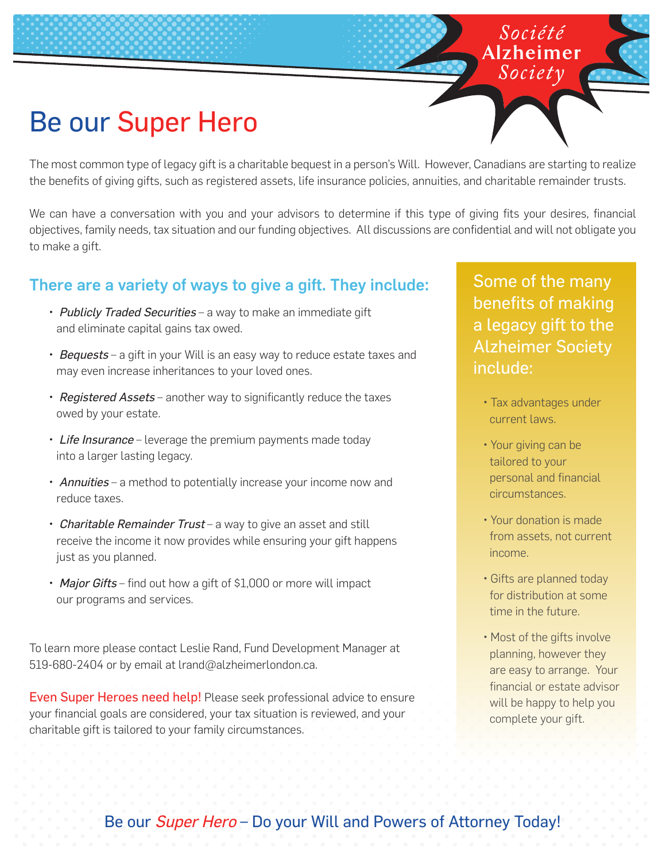# Be our Super Hero

The most common type of legacy gift is a charitable bequest in a person's Will. However, Canadians are starting to realize the benefits of giving gifts, such as registered assets, life insurance policies, annuities, and charitable remainder trusts.

We can have a conversation with you and your advisors to determine if this type of giving fits your desires, financial objectives, family needs, tax situation and our funding objectives. All discussions are confidential and will not obligate you to make a gift.

#### There are a variety of ways to give a gift. They include:

- Publicly Traded Securities a way to make an immediate gift and eliminate capital gains tax owed.
- Bequests a gift in your Will is an easy way to reduce estate taxes and may even increase inheritances to your loved ones.
- Registered Assets another way to significantly reduce the taxes owed by your estate.
- Life Insurance leverage the premium payments made today into a larger lasting legacy.
- Annuities a method to potentially increase your income now and reduce taxes.
- Charitable Remainder Trust a way to give an asset and still receive the income it now provides while ensuring your gift happens just as you planned.
- Major Gifts find out how a gift of \$1,000 or more will impact our programs and services.

To learn more please contact Leslie Rand, Fund Development Manager at 519-680-2404 or by email at lrand@alzheimerlondon.ca.

Even Super Heroes need help! Please seek professional advice to ensure your financial goals are considered, your tax situation is reviewed, and your charitable gift is tailored to your family circumstances.

Some of the many benefits of making a legacy gift to the Alzheimer Society include:

Société Alzheimer

- Tax advantages under current laws.
- Your giving can be tailored to your personal and financial circumstances.
- Your donation is made from assets, not current income.
- Gifts are planned today for distribution at some time in the future.
- Most of the gifts involve planning, however they are easy to arrange. Your financial or estate advisor will be happy to help you complete your gift.

### Be our Super Hero - Do your Will and Powers of Attorney Today!